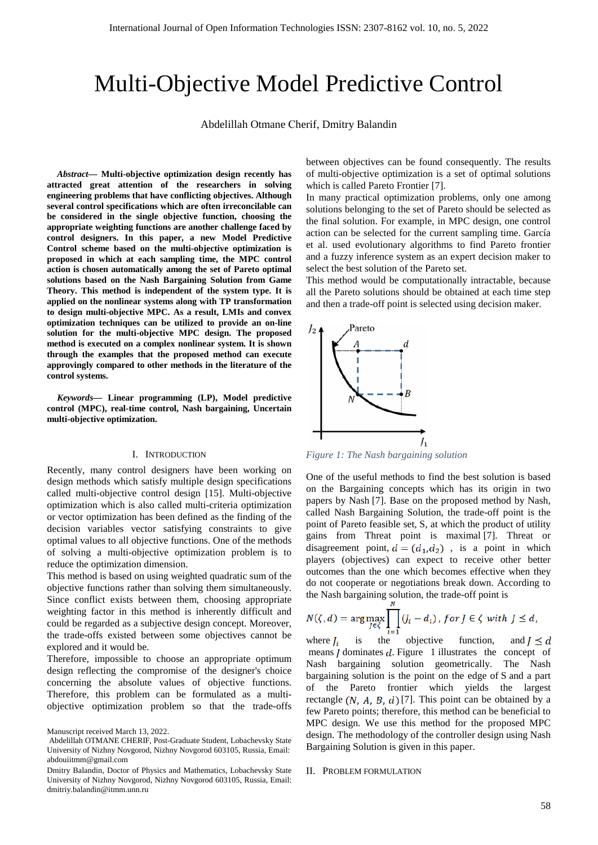# Multi-Objective Model Predictive Control

Abdelillah Otmane Сherif, Dmitry Balandin

*Abstract***— Multi-objective optimization design recently has attracted great attention of the researchers in solving engineering problems that have conflicting objectives. Although several control specifications which are often irreconcilable can be considered in the single objective function, choosing the appropriate weighting functions are another challenge faced by control designers. In this paper, a new Model Predictive Control scheme based on the multi-objective optimization is proposed in which at each sampling time, the MPC control action is chosen automatically among the set of Pareto optimal solutions based on the Nash Bargaining Solution from Game Theory. This method is independent of the system type. It is applied on the nonlinear systems along with TP transformation to design multi-objective MPC. As a result, LMIs and convex optimization techniques can be utilized to provide an on-line solution for the multi-objective MPC design. The proposed method is executed on a complex nonlinear system. It is shown through the examples that the proposed method can execute approvingly compared to other methods in the literature of the control systems.**

*Keywords***— Linear programming (LP), Model predictive control (MPC), real-time control, [Nash bargaining,](https://ieeexplore.ieee.org/search/searchresult.jsp?matchBoolean=true&queryText=%22Index%20Terms%22:Nash%20bargaining&newsearch=true) Uncertain multi-objective optimization.**

#### I. INTRODUCTION

Recently, many control designers have been working on design methods which satisfy multiple design specifications called multi-objective control design [15]. Multi-objective optimization which is also called multi-criteria optimization or vector optimization has been defined as the finding of the decision variables vector satisfying constraints to give optimal values to all objective functions. One of the methods of solving a multi-objective optimization problem is to reduce the optimization dimension.

This method is based on using weighted quadratic sum of the objective functions rather than solving them simultaneously. Since conflict exists between them, choosing appropriate weighting factor in this method is inherently difficult and could be regarded as a subjective design concept. Moreover, the trade-offs existed between some objectives cannot be explored and it would be.

Therefore, impossible to choose an appropriate optimum design reflecting the compromise of the designer's choice concerning the absolute values of objective functions. Therefore, this problem can be formulated as a multiobjective optimization problem so that the trade-offs

Manuscript received March 13, 2022.

between objectives can be found consequently. The results of multi-objective optimization is a set of optimal solutions which is called Pareto Frontier [7].

In many practical optimization problems, only one among solutions belonging to the set of Pareto should be selected as the final solution. For example, in MPC design, one control action can be selected for the current sampling time. García et al. used evolutionary algorithms to find Pareto frontier and a fuzzy inference system as an expert decision maker to select the best solution of the Pareto set.

This method would be computationally intractable, because all the Pareto solutions should be obtained at each time step and then a trade-off point is selected using decision maker.



*Figure 1: The Nash bargaining solution*

One of the useful methods to find the best solution is based on the Bargaining concepts which has its origin in two papers by Nash [7]. Base on the proposed method by Nash, called Nash Bargaining Solution, the trade-off point is the point of Pareto feasible set, S, at which the product of utility gains from Threat point is maximal [7]. Threat or disagreement point,  $d = (d_1, d_2)$ , is a point in which players (objectives) can expect to receive other better outcomes than the one which becomes effective when they do not cooperate or negotiations break down. According to the Nash bargaining solution, the trade-off point is

$$
N(\zeta, d) = \arg \max_{J \in \zeta} \prod_{i=1}^N (J_i - d_i), \text{ for } J \in \zeta \text{ with } J \leq d,
$$

where  $I_i$  is the objective function, and  $I \le d$ means  $\boldsymbol{I}$  dominates  $\boldsymbol{d}$ . Figure 1 illustrates the concept of Nash bargaining solution geometrically. The Nash bargaining solution is the point on the edge of S and a part of the Pareto frontier which yields the largest rectangle  $(N, A, B, d)$  [7]. This point can be obtained by a few Pareto points; therefore, this method can be beneficial to MPC design. We use this method for the proposed MPC design. The methodology of the controller design using Nash Bargaining Solution is given in this paper.

#### II. PROBLEM FORMULATION

Abdelillah OTMANE CHERIF, Post-Graduate Student, Lobachevsky State University of Nizhny Novgorod, Nizhny Novgorod 603105, Russia, Email: abdouiitmm@gmail.com

Dmitry Balandin, Doctor of Physics and Mathematics, Lobachevsky State University of Nizhny Novgorod, Nizhny Novgorod 603105, Russia, Email: dmitriy.balandin@itmm.unn.ru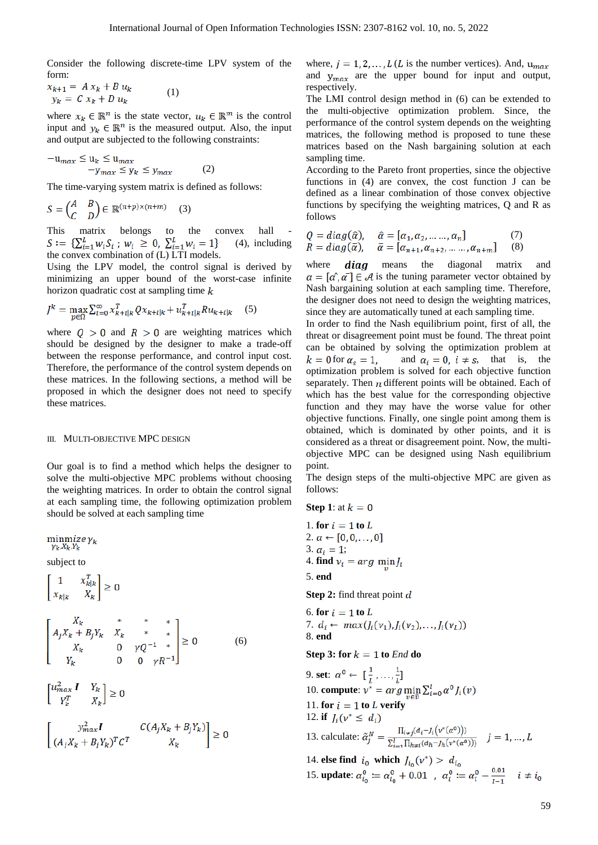Consider the following discrete-time LPV system of the form:

$$
x_{k+1} = A x_k + B u_k
$$
  
\n
$$
y_k = C x_k + D u_k
$$
\n(1)

where  $x_k \in \mathbb{R}^n$  is the state vector,  $u_k \in \mathbb{R}^m$  is the control input and  $y_k \in \mathbb{R}^n$  is the measured output. Also, the input and output are subjected to the following constraints:

$$
-u_{max} \le u_k \le u_{max}
$$
  

$$
-y_{max} \le y_k \le y_{max}
$$
 (2)

The time-varying system matrix is defined as follows:

$$
S = \begin{pmatrix} A & B \\ C & D \end{pmatrix} \in \mathbb{R}^{(n+p)\times(n+m)} \quad (3)
$$

This matrix belongs to the convex hall  $S := \{ \sum_{i=1}^{L} w_i S_i ; w_i \ge 0, \sum_{i=1}^{L} w_i = 1 \}$  (4), include (4), including the convex combination of (L) LTI models.

Using the LPV model, the control signal is derived by minimizing an upper bound of the worst-case infinite horizon quadratic cost at sampling time  $k$ 

$$
J^{k} = \max_{p \in \Omega} \sum_{i=0}^{\infty} x_{k+i|k}^{T} Q x_{k+i|k} + u_{k+i|k}^{T} R u_{k+i|k} \quad (5)
$$

where  $Q > 0$  and  $R > 0$  are weighting matrices which should be designed by the designer to make a trade-off between the response performance, and control input cost. Therefore, the performance of the control system depends on these matrices. In the following sections, a method will be proposed in which the designer does not need to specify these matrices.

#### III. MULTI-OBJECTIVE MPC DESIGN

Our goal is to find a method which helps the designer to solve the multi-objective MPC problems without choosing the weighting matrices. In order to obtain the control signal at each sampling time, the following optimization problem should be solved at each sampling time

$$
\begin{aligned}\n\min_{\gamma_k, X_k, Y_k} & \text{subject to} \\
& \begin{bmatrix}\n1 & x_{k|k}^T \\
x_{k|k} & X_k\n\end{bmatrix} \ge 0 \\
& \begin{bmatrix}\nX_k & * & * \\
A_j X_k + B_j Y_k & X_k & * & * \\
X_k & 0 & \gamma Q^{-1} & * \\
Y_k & 0 & 0 & \gamma R^{-1}\n\end{bmatrix} \ge 0\n\end{aligned}\n\tag{6}
$$
\n
$$
\begin{bmatrix}\nu_{max}^2 I & Y_k \\
Y_k^T & X_k\n\end{bmatrix} \ge 0
$$
\n
$$
\begin{bmatrix}\ny_{max}^2 I & C(A_j X_k + B_j Y_k) \\
(A_i X_k + B_i Y_k)^T C^T & X_k\n\end{bmatrix} \ge 0
$$

where,  $j = 1, 2, ..., L$  (L is the number vertices). And,  $u_{max}$ and  $y_{max}$  are the upper bound for input and output, respectively.

The LMI control design method in (6) can be extended to the multi-objective optimization problem. Since, the performance of the control system depends on the weighting matrices, the following method is proposed to tune these matrices based on the Nash bargaining solution at each sampling time.

According to the Pareto front properties, since the objective functions in (4) are convex, the cost function J can be defined as a linear combination of those convex objective functions by specifying the weighting matrices, Q and R as follows

$$
Q = diag(\hat{\alpha}), \quad \hat{\alpha} = [\alpha_1, \alpha_2, \dots \dots, \alpha_n]
$$
  
\n
$$
R = diag(\bar{\alpha}), \quad \bar{\alpha} = [\alpha_{n+1}, \alpha_{n+2}, \dots \dots, \alpha_{n+m}]
$$
 (8)

where  $diag$  means the diagonal matrix and  $\alpha = [\alpha', \alpha'] \in \mathcal{A}$  is the tuning parameter vector obtained by Nash bargaining solution at each sampling time. Therefore, the designer does not need to design the weighting matrices, since they are automatically tuned at each sampling time.

In order to find the Nash equilibrium point, first of all, the threat or disagreement point must be found. The threat point can be obtained by solving the optimization problem at  $k = 0$  for  $\alpha_s = 1$ , and  $\alpha_i = 0$ ,  $i \neq s$ , that is, the optimization problem is solved for each objective function separately. Then  $\bf{n}$  different points will be obtained. Each of which has the best value for the corresponding objective function and they may have the worse value for other objective functions. Finally, one single point among them is obtained, which is dominated by other points, and it is considered as a threat or disagreement point. Now, the multiobjective MPC can be designed using Nash equilibrium point.

The design steps of the multi-objective MPC are given as follows:

Step 1: at 
$$
k = 0
$$

1. **for**  $i = 1$  **to**  $L$ 2.  $\alpha \leftarrow [0, 0, \ldots, 0]$ 3.  $\alpha_i = 1$ ; 4. **find**  $v_i = arg \min_v J_i$ 5. **end Step 2:** find threat point d 6. **for**  $i = 1$  **to**  $L$ 7.  $d_i \leftarrow max(J_i(v_1), J_i(v_2), \ldots, J_i(v_L))$ 8. **end Step 3: for**  $k = 1$  **to** *End* **do** 9. **set**: 10. **compute**: 11. **for**  $i = 1$  **to**  $L$  **verify** 12. **if**  $J_i(v^* \leq d_i)$ 13. calculate:  $\tilde{\alpha}_j^N = \frac{\prod_{i \neq j} (d_i - l_i(v^*(\alpha^0)))}{\sum_{i=1}^l \prod_{h \neq i} (d_h - l_h(v^*(\alpha^0)))}$   $j = 1, ..., L$ 14. **else find**  $i_0$  which  $J_{i_0}(v^*) > d_{i_0}$ 15. **update**:  $\alpha_{i_0}^0 := \alpha_{i_0}^0 + 0.01$ ,  $\alpha_i^0 := \alpha_i^0 - \frac{0.01}{i - 1}$ ,  $i \neq i_0$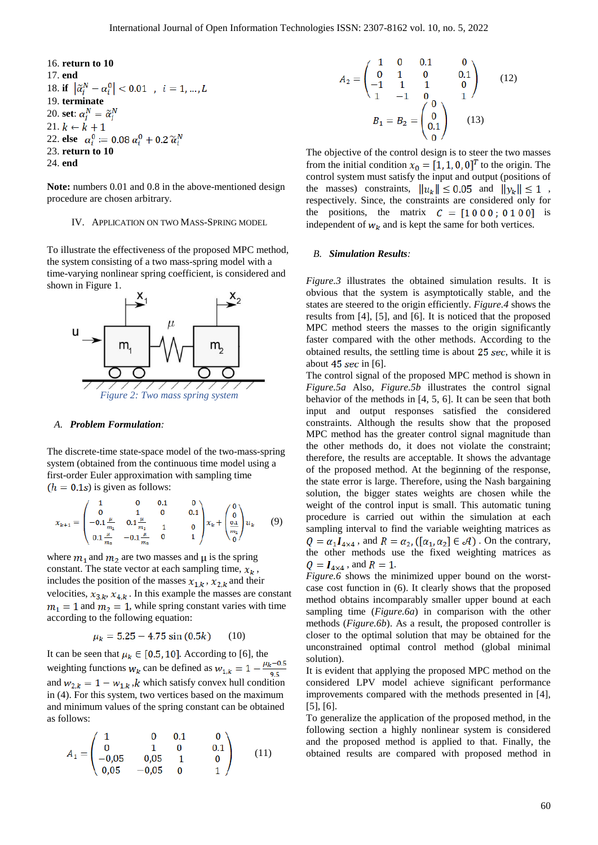16. return to 10  
\n17. end  
\n18. if 
$$
|\tilde{\alpha}_j^N - \alpha_i^0| < 0.01
$$
,  $i = 1, ..., L$   
\n19. terminate  
\n20. set:  $\alpha_i^N = \tilde{\alpha}_i^N$   
\n21.  $k \leftarrow k + 1$   
\n22. else  $\alpha_i^0 := 0.08 \alpha_i^0 + 0.2 \tilde{\alpha}_i^N$   
\n23. return to 10  
\n24. end

**Note:** numbers 0.01 and 0.8 in the above-mentioned design procedure are chosen arbitrary.

## IV. APPLICATION ON TWO MASS-SPRING MODEL

To illustrate the effectiveness of the proposed MPC method, the system consisting of a two mass-spring model with a time-varying nonlinear spring coefficient, is considered and shown in Figure 1.



#### *A. Problem Formulation:*

The discrete-time state-space model of the two-mass-spring system (obtained from the continuous time model using a first-order Euler approximation with sampling time  $(h = 0.1s)$  is given as follows:

$$
x_{k+1} = \begin{pmatrix} 1 & 0 & 0.1 & 0 \\ 0 & 1 & 0 & 0.1 \\ -0.1 \frac{\mu}{m_1} & 0.1 \frac{\mu}{m_1} & 1 & 0 \\ 0.1 \frac{\mu}{m_2} & -0.1 \frac{\mu}{m_2} & 0 & 1 \end{pmatrix} x_k + \begin{pmatrix} 0 \\ 0 \\ \frac{0.1}{m_1} \\ 0 \end{pmatrix} u_k \qquad (9)
$$

where  $m_1$  and  $m_2$  are two masses and  $\mu$  is the spring constant. The state vector at each sampling time,  $x_k$ , includes the position of the masses  $x_{1,k}$ ,  $x_{2,k}$  and their velocities,  $x_{3,k}$ ,  $x_{4,k}$ . In this example the masses are constant  $m_1 = 1$  and  $m_2 = 1$ , while spring constant varies with time according to the following equation:

$$
\mu_k = 5.25 - 4.75 \sin(0.5k) \qquad (10)
$$

It can be seen that  $\mu_k \in [0.5, 10]$ . According to [6], the weighting functions  $w_k$  can be defined as  $w_{1,k} = 1 - \frac{\mu_k - 0.5}{\alpha E}$ and  $w_{2,k} = 1 - w_{1,k}$ , *k* which satisfy convex hull condition in (4). For this system, two vertices based on the maximum and minimum values of the spring constant can be obtained as follows:

$$
A_1 = \begin{pmatrix} 1 & 0 & 0.1 & 0 \\ 0 & 1 & 0 & 0.1 \\ -0.05 & 0.05 & 1 & 0 \\ 0.05 & -0.05 & 0 & 1 \end{pmatrix}
$$
 (11)

$$
A_2 = \begin{pmatrix} 1 & 0 & 0.1 & 0 \\ 0 & 1 & 0 & 0.1 \\ -1 & 1 & 1 & 0 \\ 1 & -1 & 0 & 1 \end{pmatrix}
$$
 (12)  

$$
B_1 = B_2 = \begin{pmatrix} 0 \\ 0 \\ 0.1 \end{pmatrix}
$$
 (13)

The objective of the control design is to steer the two masses from the initial condition  $x_0 = [1, 1, 0, 0]^T$  to the origin. The control system must satisfy the input and output (positions of the masses) constraints,  $||u_k|| \le 0.05$  and  $||y_k|| \le 1$ , respectively. Since, the constraints are considered only for the positions, the matrix  $C = [1000; 0100]$  is independent of  $w_k$  and is kept the same for both vertices.

## *B. Simulation Results:*

*Figure.3* illustrates the obtained simulation results. It is obvious that the system is asymptotically stable, and the states are steered to the origin efficiently. *Figure.4* shows the results from [4], [5], and [6]. It is noticed that the proposed MPC method steers the masses to the origin significantly faster compared with the other methods. According to the obtained results, the settling time is about  $25 \text{ sec}$ , while it is about  $45$  sec in [6].

The control signal of the proposed MPC method is shown in *Figure.5a* Also, *Figure.5b* illustrates the control signal behavior of the methods in [4, 5, 6]. It can be seen that both input and output responses satisfied the considered constraints. Although the results show that the proposed MPC method has the greater control signal magnitude than the other methods do, it does not violate the constraint; therefore, the results are acceptable. It shows the advantage of the proposed method. At the beginning of the response, the state error is large. Therefore, using the Nash bargaining solution, the bigger states weights are chosen while the weight of the control input is small. This automatic tuning procedure is carried out within the simulation at each sampling interval to find the variable weighting matrices as  $Q = \alpha_1 I_{4 \times 4}$ , and  $R = \alpha_2$ , ([ $\alpha_1, \alpha_2$ ]  $\in \mathcal{A}$ ). On the contrary, the other methods use the fixed weighting matrices as  $Q = I_{4 \times 4}$ , and  $R = 1$ .

*Figure.6* shows the minimized upper bound on the worstcase cost function in (6). It clearly shows that the proposed method obtains incomparably smaller upper bound at each sampling time (*Figure.6a*) in comparison with the other methods (*Figure.6b*). As a result, the proposed controller is closer to the optimal solution that may be obtained for the unconstrained optimal control method (global minimal solution).

It is evident that applying the proposed MPC method on the considered LPV model achieve significant performance improvements compared with the methods presented in [4], [5], [6].

To generalize the application of the proposed method, in the following section a highly nonlinear system is considered and the proposed method is applied to that. Finally, the obtained results are compared with proposed method in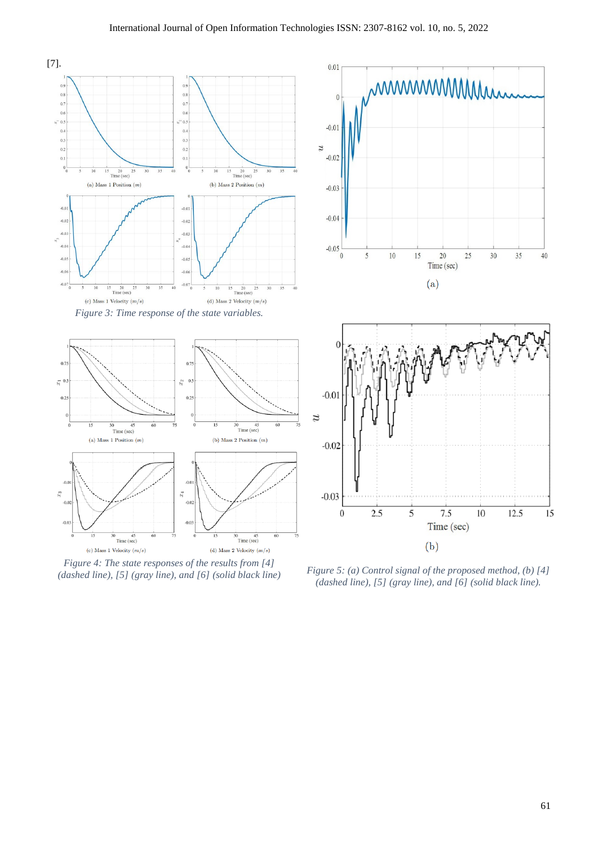

*Figure 4: The state responses of the results from [4]* 

*(dashed line), [5] (gray line), and [6] (solid black line) Figure 5: (a) Control signal of the proposed method, (b) [4] (dashed line), [5] (gray line), and [6] (solid black line).*